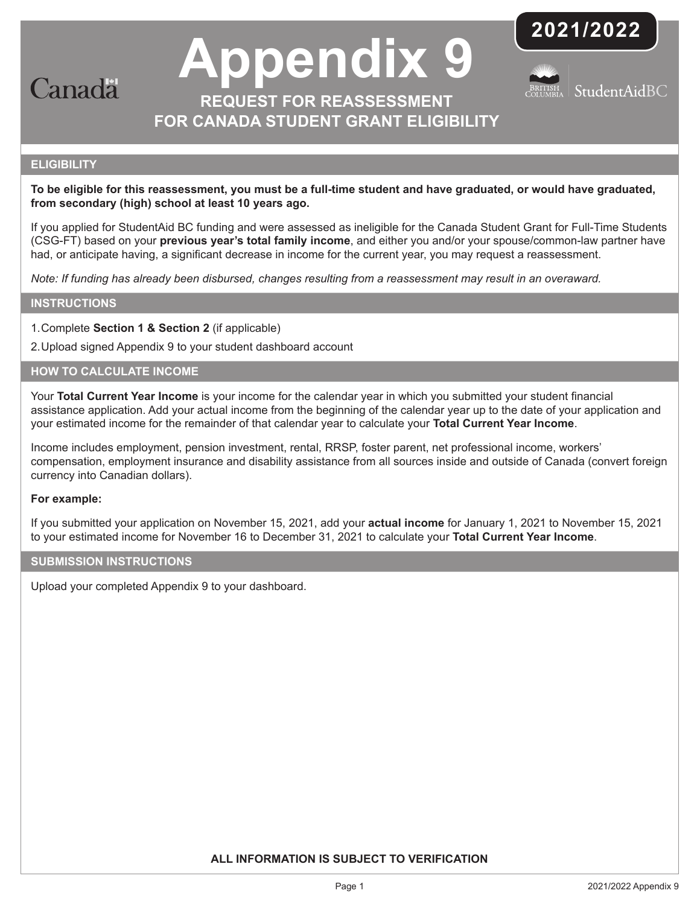

# **Appendix 9 REQUEST FOR REASSESSMENT**

**FOR CANADA STUDENT GRANT ELIGIBILITY** 





#### **ELIGIBILITY**

**To be eligible for this reassessment, you must be a full-time student and have graduated, or would have graduated, from secondary (high) school at least 10 years ago.** 

If you applied for StudentAid BC funding and were assessed as ineligible for the Canada Student Grant for Full-Time Students (CSG-FT) based on your **previous year's total family income**, and either you and/or your spouse/common-law partner have had, or anticipate having, a significant decrease in income for the current year, you may request a reassessment.

*Note: If funding has already been disbursed, changes resulting from a reassessment may result in an overaward.*

#### **INSTRUCTIONS**

1.Complete **Section 1 & Section 2** (if applicable)

2.Upload signed Appendix 9 to your student dashboard account

#### **HOW TO CALCULATE INCOME**

Your **Total Current Year Income** is your income for the calendar year in which you submitted your student financial assistance application. Add your actual income from the beginning of the calendar year up to the date of your application and your estimated income for the remainder of that calendar year to calculate your **Total Current Year Income**.

Income includes employment, pension investment, rental, RRSP, foster parent, net professional income, workers' compensation, employment insurance and disability assistance from all sources inside and outside of Canada (convert foreign currency into Canadian dollars).

#### **For example:**

If you submitted your application on November 15, 2021, add your **actual income** for January 1, 2021 to November 15, 2021 to your estimated income for November 16 to December 31, 2021 to calculate your **Total Current Year Income**.

#### **SUBMISSION INSTRUCTIONS**

Upload your completed Appendix 9 to your dashboard.

**ALL INFORMATION IS SUBJECT TO VERIFICATION**